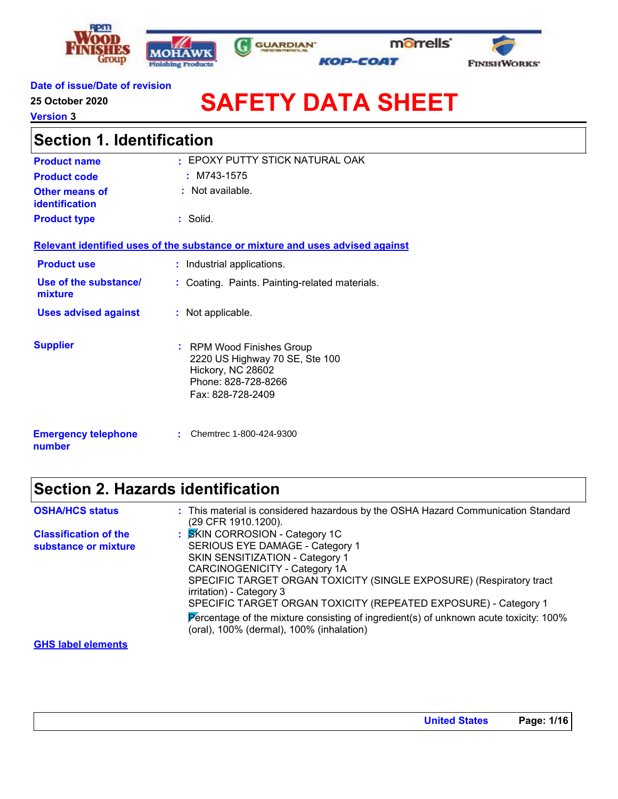







#### **Date of issue/Date of revision**

**25 October 2020**

**Version 3**

# **SAFETY DATA SHEET**

| <b>Section 1. Identification</b>        |                                                                                                                              |  |
|-----------------------------------------|------------------------------------------------------------------------------------------------------------------------------|--|
| <b>Product name</b>                     | · EPOXY PUTTY STICK NATURAL OAK                                                                                              |  |
| <b>Product code</b>                     | $:$ M743-1575                                                                                                                |  |
| <b>Other means of</b><br>identification | : Not available.                                                                                                             |  |
| <b>Product type</b>                     | : Solid.                                                                                                                     |  |
|                                         | Relevant identified uses of the substance or mixture and uses advised against                                                |  |
| <b>Product use</b>                      | : Industrial applications.                                                                                                   |  |
| Use of the substance/<br>mixture        | : Coating. Paints. Painting-related materials.                                                                               |  |
| <b>Uses advised against</b>             | : Not applicable.                                                                                                            |  |
| <b>Supplier</b>                         | : RPM Wood Finishes Group<br>2220 US Highway 70 SE, Ste 100<br>Hickory, NC 28602<br>Phone: 828-728-8266<br>Fax: 828-728-2409 |  |
| <b>Emergency telephone</b><br>number    | Chemtrec 1-800-424-9300                                                                                                      |  |

### **Section 2. Hazards identification**

| <b>OSHA/HCS status</b>                               | : This material is considered hazardous by the OSHA Hazard Communication Standard<br>(29 CFR 1910.1200).                                                                                                                                                                                                                                                                                                                                                |
|------------------------------------------------------|---------------------------------------------------------------------------------------------------------------------------------------------------------------------------------------------------------------------------------------------------------------------------------------------------------------------------------------------------------------------------------------------------------------------------------------------------------|
| <b>Classification of the</b><br>substance or mixture | : SKIN CORROSION - Category 1C<br>SERIOUS EYE DAMAGE - Category 1<br>SKIN SENSITIZATION - Category 1<br><b>CARCINOGENICITY - Category 1A</b><br>SPECIFIC TARGET ORGAN TOXICITY (SINGLE EXPOSURE) (Respiratory tract<br>irritation) - Category 3<br>SPECIFIC TARGET ORGAN TOXICITY (REPEATED EXPOSURE) - Category 1<br>Percentage of the mixture consisting of ingredient(s) of unknown acute toxicity: 100%<br>(oral), 100% (dermal), 100% (inhalation) |
| <b>GHS label elements</b>                            |                                                                                                                                                                                                                                                                                                                                                                                                                                                         |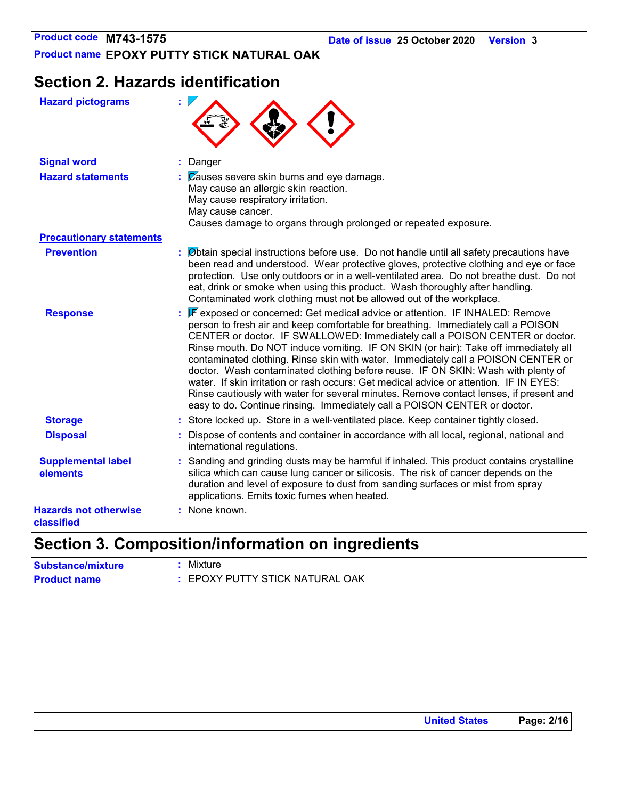**Product name EPOXY PUTTY STICK NATURAL OAK**

## **Section 2. Hazards identification**

| <b>Hazard pictograms</b>                   | ŧ.                                                                                                                                                                                                                                                                                                                                                                                                                                                                                                                                                                                                                                                                                                                                                                                 |
|--------------------------------------------|------------------------------------------------------------------------------------------------------------------------------------------------------------------------------------------------------------------------------------------------------------------------------------------------------------------------------------------------------------------------------------------------------------------------------------------------------------------------------------------------------------------------------------------------------------------------------------------------------------------------------------------------------------------------------------------------------------------------------------------------------------------------------------|
| <b>Signal word</b>                         | : Danger                                                                                                                                                                                                                                                                                                                                                                                                                                                                                                                                                                                                                                                                                                                                                                           |
| <b>Hazard statements</b>                   | $\mathcal{C}$ Zauses severe skin burns and eye damage.<br>May cause an allergic skin reaction.<br>May cause respiratory irritation.<br>May cause cancer.<br>Causes damage to organs through prolonged or repeated exposure.                                                                                                                                                                                                                                                                                                                                                                                                                                                                                                                                                        |
| <b>Precautionary statements</b>            |                                                                                                                                                                                                                                                                                                                                                                                                                                                                                                                                                                                                                                                                                                                                                                                    |
| <b>Prevention</b>                          | : Øbtain special instructions before use. Do not handle until all safety precautions have<br>been read and understood. Wear protective gloves, protective clothing and eye or face<br>protection. Use only outdoors or in a well-ventilated area. Do not breathe dust. Do not<br>eat, drink or smoke when using this product. Wash thoroughly after handling.<br>Contaminated work clothing must not be allowed out of the workplace.                                                                                                                                                                                                                                                                                                                                              |
| <b>Response</b>                            | : F exposed or concerned: Get medical advice or attention. IF INHALED: Remove<br>person to fresh air and keep comfortable for breathing. Immediately call a POISON<br>CENTER or doctor. IF SWALLOWED: Immediately call a POISON CENTER or doctor.<br>Rinse mouth. Do NOT induce vomiting. IF ON SKIN (or hair): Take off immediately all<br>contaminated clothing. Rinse skin with water. Immediately call a POISON CENTER or<br>doctor. Wash contaminated clothing before reuse. IF ON SKIN: Wash with plenty of<br>water. If skin irritation or rash occurs: Get medical advice or attention. IF IN EYES:<br>Rinse cautiously with water for several minutes. Remove contact lenses, if present and<br>easy to do. Continue rinsing. Immediately call a POISON CENTER or doctor. |
| <b>Storage</b>                             | : Store locked up. Store in a well-ventilated place. Keep container tightly closed.                                                                                                                                                                                                                                                                                                                                                                                                                                                                                                                                                                                                                                                                                                |
| <b>Disposal</b>                            | Dispose of contents and container in accordance with all local, regional, national and<br>international regulations.                                                                                                                                                                                                                                                                                                                                                                                                                                                                                                                                                                                                                                                               |
| <b>Supplemental label</b><br>elements      | : Sanding and grinding dusts may be harmful if inhaled. This product contains crystalline<br>silica which can cause lung cancer or silicosis. The risk of cancer depends on the<br>duration and level of exposure to dust from sanding surfaces or mist from spray<br>applications. Emits toxic fumes when heated.                                                                                                                                                                                                                                                                                                                                                                                                                                                                 |
| <b>Hazards not otherwise</b><br>classified | : None known.                                                                                                                                                                                                                                                                                                                                                                                                                                                                                                                                                                                                                                                                                                                                                                      |

### **Section 3. Composition/information on ingredients**

| <b>Substance/mixture</b> | : Mixture                       |
|--------------------------|---------------------------------|
| <b>Product name</b>      | : EPOXY PUTTY STICK NATURAL OAK |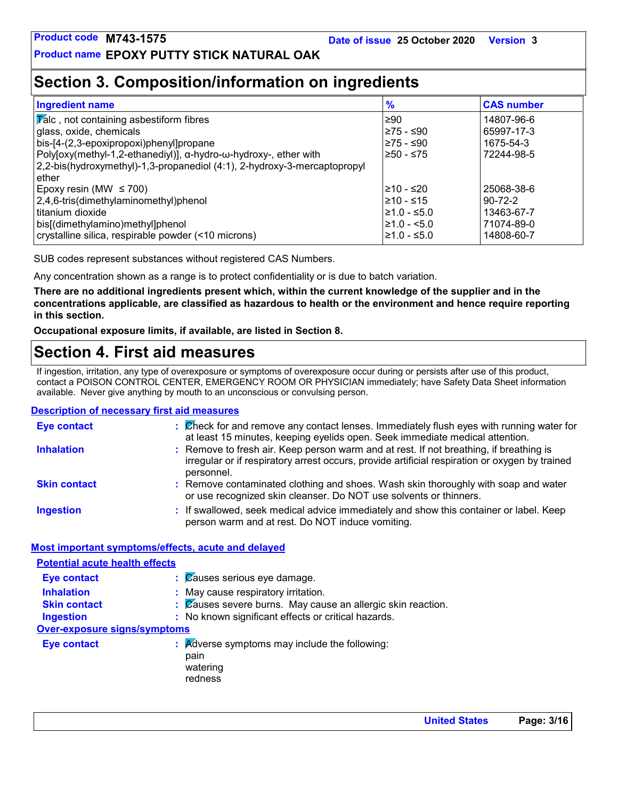### **Section 3. Composition/information on ingredients**

| <b>Ingredient name</b>                                                   | $\frac{9}{6}$    | <b>CAS number</b> |
|--------------------------------------------------------------------------|------------------|-------------------|
| <b>Talc</b> , not containing asbestiform fibres                          | 290              | 14807-96-6        |
| glass, oxide, chemicals                                                  | 275 - ≤90        | 65997-17-3        |
| bis-[4-(2,3-epoxipropoxi)phenyl]propane                                  | l≥75 - ≤90       | 1675-54-3         |
| Poly[oxy(methyl-1,2-ethanediyl)], α-hydro-ω-hydroxy-, ether with         | l≥50 - ≤75       | 72244-98-5        |
| 2,2-bis(hydroxymethyl)-1,3-propanediol (4:1), 2-hydroxy-3-mercaptopropyl |                  |                   |
| ether                                                                    |                  |                   |
| Epoxy resin (MW $\leq$ 700)                                              | l≥10 - ≤20       | 25068-38-6        |
| 2,4,6-tris(dimethylaminomethyl)phenol                                    | $≥10 - ≤15$      | $90 - 72 - 2$     |
| l titanium dioxide                                                       | $\geq 1.0 - 5.0$ | 13463-67-7        |
| bis[(dimethylamino)methyl]phenol                                         | $\geq 1.0 - 5.0$ | 71074-89-0        |
| crystalline silica, respirable powder (<10 microns)                      | ≥1.0 - ≤5.0      | 14808-60-7        |

SUB codes represent substances without registered CAS Numbers.

Any concentration shown as a range is to protect confidentiality or is due to batch variation.

**There are no additional ingredients present which, within the current knowledge of the supplier and in the concentrations applicable, are classified as hazardous to health or the environment and hence require reporting in this section.**

**Occupational exposure limits, if available, are listed in Section 8.**

### **Section 4. First aid measures**

If ingestion, irritation, any type of overexposure or symptoms of overexposure occur during or persists after use of this product, contact a POISON CONTROL CENTER, EMERGENCY ROOM OR PHYSICIAN immediately; have Safety Data Sheet information available. Never give anything by mouth to an unconscious or convulsing person.

#### **Description of necessary first aid measures**

| <b>Eye contact</b>  | : Check for and remove any contact lenses. Immediately flush eyes with running water for<br>at least 15 minutes, keeping eyelids open. Seek immediate medical attention.                               |
|---------------------|--------------------------------------------------------------------------------------------------------------------------------------------------------------------------------------------------------|
| <b>Inhalation</b>   | : Remove to fresh air. Keep person warm and at rest. If not breathing, if breathing is<br>irregular or if respiratory arrest occurs, provide artificial respiration or oxygen by trained<br>personnel. |
| <b>Skin contact</b> | : Remove contaminated clothing and shoes. Wash skin thoroughly with soap and water<br>or use recognized skin cleanser. Do NOT use solvents or thinners.                                                |
| <b>Ingestion</b>    | : If swallowed, seek medical advice immediately and show this container or label. Keep<br>person warm and at rest. Do NOT induce vomiting.                                                             |

#### **Most important symptoms/effects, acute and delayed**

| <b>Potential acute health effects</b> |                                                                              |
|---------------------------------------|------------------------------------------------------------------------------|
| <b>Eye contact</b>                    | $\therefore$ $\emptyset$ auses serious eye damage.                           |
| <b>Inhalation</b>                     | : May cause respiratory irritation.                                          |
| <b>Skin contact</b>                   | : Causes severe burns. May cause an allergic skin reaction.                  |
| <b>Ingestion</b>                      | : No known significant effects or critical hazards.                          |
| Over-exposure signs/symptoms          |                                                                              |
| <b>Eye contact</b>                    | : Adverse symptoms may include the following:<br>pain<br>watering<br>redness |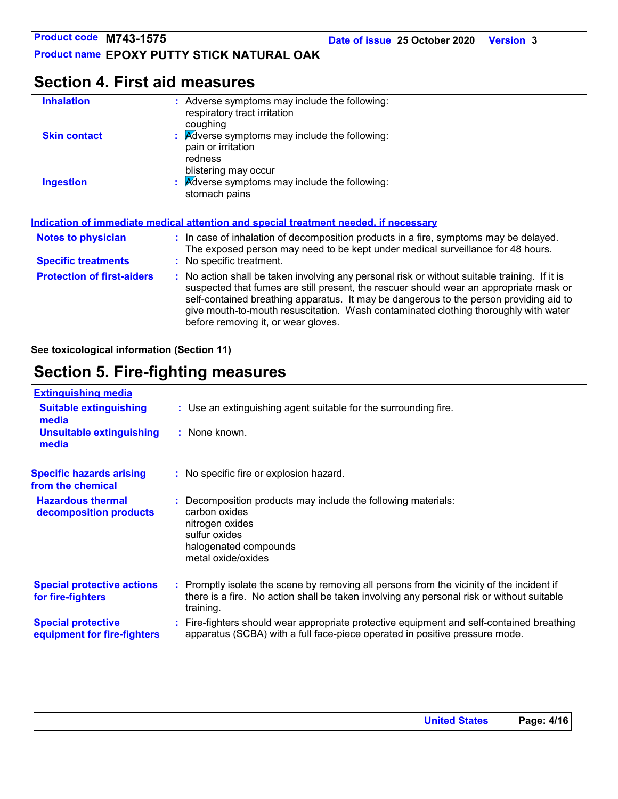**Date of issue 25 October 2020 Version 3**

**Product name EPOXY PUTTY STICK NATURAL OAK**

### **Section 4. First aid measures**

| <b>Inhalation</b>                 | : Adverse symptoms may include the following:<br>respiratory tract irritation<br>coughing                                                                                                                                                                                                                                                                                                                       |
|-----------------------------------|-----------------------------------------------------------------------------------------------------------------------------------------------------------------------------------------------------------------------------------------------------------------------------------------------------------------------------------------------------------------------------------------------------------------|
| <b>Skin contact</b>               | $\therefore$ Adverse symptoms may include the following:<br>pain or irritation<br>redness                                                                                                                                                                                                                                                                                                                       |
| <b>Ingestion</b>                  | blistering may occur<br>: Adverse symptoms may include the following:<br>stomach pains                                                                                                                                                                                                                                                                                                                          |
|                                   | Indication of immediate medical attention and special treatment needed, if necessary                                                                                                                                                                                                                                                                                                                            |
| <b>Notes to physician</b>         | : In case of inhalation of decomposition products in a fire, symptoms may be delayed.<br>The exposed person may need to be kept under medical surveillance for 48 hours.                                                                                                                                                                                                                                        |
| <b>Specific treatments</b>        | : No specific treatment.                                                                                                                                                                                                                                                                                                                                                                                        |
| <b>Protection of first-aiders</b> | : No action shall be taken involving any personal risk or without suitable training. If it is<br>suspected that fumes are still present, the rescuer should wear an appropriate mask or<br>self-contained breathing apparatus. It may be dangerous to the person providing aid to<br>give mouth-to-mouth resuscitation. Wash contaminated clothing thoroughly with water<br>before removing it, or wear gloves. |

**See toxicological information (Section 11)**

### **Section 5. Fire-fighting measures**

| <b>Extinguishing media</b>                               |                                                                                                                                                                                                     |
|----------------------------------------------------------|-----------------------------------------------------------------------------------------------------------------------------------------------------------------------------------------------------|
| <b>Suitable extinguishing</b><br>media                   | : Use an extinguishing agent suitable for the surrounding fire.                                                                                                                                     |
| <b>Unsuitable extinguishing</b><br>media                 | : None known.                                                                                                                                                                                       |
| <b>Specific hazards arising</b><br>from the chemical     | : No specific fire or explosion hazard.                                                                                                                                                             |
| <b>Hazardous thermal</b><br>decomposition products       | Decomposition products may include the following materials:<br>carbon oxides<br>nitrogen oxides<br>sulfur oxides<br>halogenated compounds<br>metal oxide/oxides                                     |
| <b>Special protective actions</b><br>for fire-fighters   | : Promptly isolate the scene by removing all persons from the vicinity of the incident if<br>there is a fire. No action shall be taken involving any personal risk or without suitable<br>training. |
| <b>Special protective</b><br>equipment for fire-fighters | : Fire-fighters should wear appropriate protective equipment and self-contained breathing<br>apparatus (SCBA) with a full face-piece operated in positive pressure mode.                            |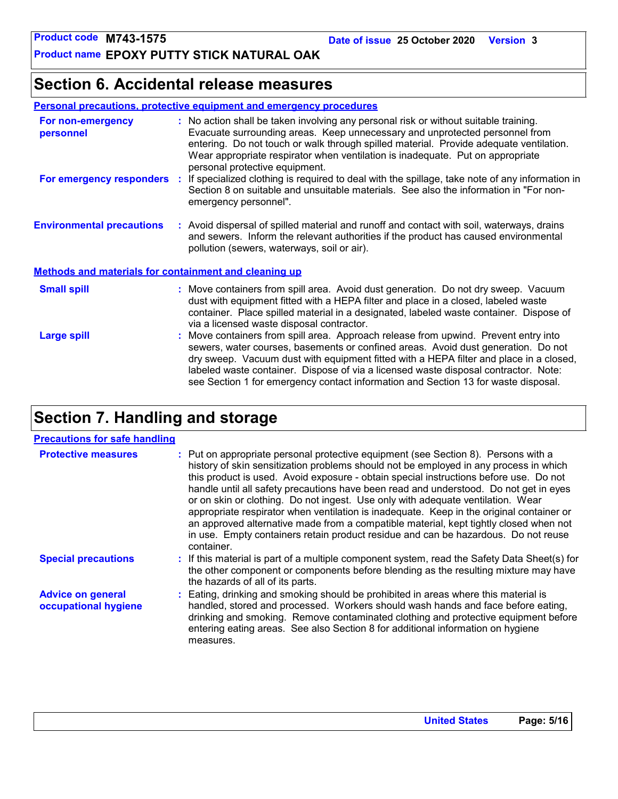### **Section 6. Accidental release measures**

| <b>Personal precautions, protective equipment and emergency procedures</b> |
|----------------------------------------------------------------------------|
|----------------------------------------------------------------------------|

| For non-emergency<br>personnel                               | : No action shall be taken involving any personal risk or without suitable training.<br>Evacuate surrounding areas. Keep unnecessary and unprotected personnel from<br>entering. Do not touch or walk through spilled material. Provide adequate ventilation.<br>Wear appropriate respirator when ventilation is inadequate. Put on appropriate<br>personal protective equipment.                                                               |
|--------------------------------------------------------------|-------------------------------------------------------------------------------------------------------------------------------------------------------------------------------------------------------------------------------------------------------------------------------------------------------------------------------------------------------------------------------------------------------------------------------------------------|
| For emergency responders                                     | : If specialized clothing is required to deal with the spillage, take note of any information in<br>Section 8 on suitable and unsuitable materials. See also the information in "For non-<br>emergency personnel".                                                                                                                                                                                                                              |
| <b>Environmental precautions</b>                             | : Avoid dispersal of spilled material and runoff and contact with soil, waterways, drains<br>and sewers. Inform the relevant authorities if the product has caused environmental<br>pollution (sewers, waterways, soil or air).                                                                                                                                                                                                                 |
| <b>Methods and materials for containment and cleaning up</b> |                                                                                                                                                                                                                                                                                                                                                                                                                                                 |
| <b>Small spill</b>                                           | : Move containers from spill area. Avoid dust generation. Do not dry sweep. Vacuum<br>dust with equipment fitted with a HEPA filter and place in a closed, labeled waste<br>container. Place spilled material in a designated, labeled waste container. Dispose of<br>via a licensed waste disposal contractor.                                                                                                                                 |
| <b>Large spill</b>                                           | : Move containers from spill area. Approach release from upwind. Prevent entry into<br>sewers, water courses, basements or confined areas. Avoid dust generation. Do not<br>dry sweep. Vacuum dust with equipment fitted with a HEPA filter and place in a closed,<br>labeled waste container. Dispose of via a licensed waste disposal contractor. Note:<br>see Section 1 for emergency contact information and Section 13 for waste disposal. |

### **Section 7. Handling and storage**

#### **Precautions for safe handling**

| <b>Protective measures</b>                       | : Put on appropriate personal protective equipment (see Section 8). Persons with a<br>history of skin sensitization problems should not be employed in any process in which<br>this product is used. Avoid exposure - obtain special instructions before use. Do not<br>handle until all safety precautions have been read and understood. Do not get in eyes<br>or on skin or clothing. Do not ingest. Use only with adequate ventilation. Wear<br>appropriate respirator when ventilation is inadequate. Keep in the original container or<br>an approved alternative made from a compatible material, kept tightly closed when not<br>in use. Empty containers retain product residue and can be hazardous. Do not reuse<br>container. |
|--------------------------------------------------|-------------------------------------------------------------------------------------------------------------------------------------------------------------------------------------------------------------------------------------------------------------------------------------------------------------------------------------------------------------------------------------------------------------------------------------------------------------------------------------------------------------------------------------------------------------------------------------------------------------------------------------------------------------------------------------------------------------------------------------------|
| <b>Special precautions</b>                       | : If this material is part of a multiple component system, read the Safety Data Sheet(s) for<br>the other component or components before blending as the resulting mixture may have<br>the hazards of all of its parts.                                                                                                                                                                                                                                                                                                                                                                                                                                                                                                                   |
| <b>Advice on general</b><br>occupational hygiene | : Eating, drinking and smoking should be prohibited in areas where this material is<br>handled, stored and processed. Workers should wash hands and face before eating,<br>drinking and smoking. Remove contaminated clothing and protective equipment before<br>entering eating areas. See also Section 8 for additional information on hygiene<br>measures.                                                                                                                                                                                                                                                                                                                                                                             |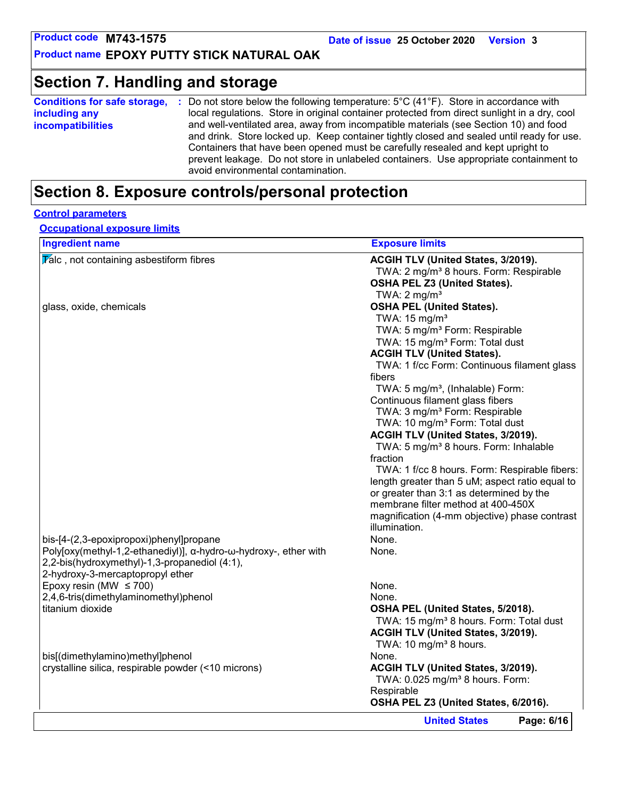### **Section 7. Handling and storage**

| Do not store below the following temperature: $5^{\circ}$ C (41 $^{\circ}$ F). Store in accordance with                     |  |  |  |  |  |  |
|-----------------------------------------------------------------------------------------------------------------------------|--|--|--|--|--|--|
| local regulations. Store in original container protected from direct sunlight in a dry, cool                                |  |  |  |  |  |  |
| and well-ventilated area, away from incompatible materials (see Section 10) and food                                        |  |  |  |  |  |  |
| and drink. Store locked up. Keep container tightly closed and sealed until ready for use.                                   |  |  |  |  |  |  |
| Containers that have been opened must be carefully resealed and kept upright to                                             |  |  |  |  |  |  |
| prevent leakage. Do not store in unlabeled containers. Use appropriate containment to<br>avoid environmental contamination. |  |  |  |  |  |  |
|                                                                                                                             |  |  |  |  |  |  |

### **Section 8. Exposure controls/personal protection**

#### **Control parameters**

**Occupational exposure limits**

| <b>Exposure limits</b>                                                                           |
|--------------------------------------------------------------------------------------------------|
| ACGIH TLV (United States, 3/2019).                                                               |
| TWA: 2 mg/m <sup>3</sup> 8 hours. Form: Respirable                                               |
| OSHA PEL Z3 (United States).                                                                     |
| TWA: $2 \text{ mg/m}^3$                                                                          |
| <b>OSHA PEL (United States).</b>                                                                 |
| TWA: $15 \text{ mg/m}^3$                                                                         |
| TWA: 5 mg/m <sup>3</sup> Form: Respirable                                                        |
| TWA: 15 mg/m <sup>3</sup> Form: Total dust                                                       |
| <b>ACGIH TLV (United States).</b>                                                                |
| TWA: 1 f/cc Form: Continuous filament glass                                                      |
| fibers                                                                                           |
| TWA: 5 mg/m <sup>3</sup> , (Inhalable) Form:                                                     |
| Continuous filament glass fibers                                                                 |
| TWA: 3 mg/m <sup>3</sup> Form: Respirable                                                        |
| TWA: 10 mg/m <sup>3</sup> Form: Total dust                                                       |
| ACGIH TLV (United States, 3/2019).                                                               |
| TWA: 5 mg/m <sup>3</sup> 8 hours. Form: Inhalable                                                |
| fraction                                                                                         |
|                                                                                                  |
| TWA: 1 f/cc 8 hours. Form: Respirable fibers:<br>length greater than 5 uM; aspect ratio equal to |
| or greater than 3:1 as determined by the                                                         |
| membrane filter method at 400-450X                                                               |
|                                                                                                  |
| magnification (4-mm objective) phase contrast<br>illumination.                                   |
|                                                                                                  |
| None.                                                                                            |
| None.                                                                                            |
|                                                                                                  |
|                                                                                                  |
| None.                                                                                            |
| None.                                                                                            |
| OSHA PEL (United States, 5/2018).                                                                |
| TWA: 15 mg/m <sup>3</sup> 8 hours. Form: Total dust                                              |
| ACGIH TLV (United States, 3/2019).                                                               |
| TWA: 10 mg/m <sup>3</sup> 8 hours.                                                               |
| None.                                                                                            |
| ACGIH TLV (United States, 3/2019).                                                               |
| TWA: 0.025 mg/m <sup>3</sup> 8 hours. Form:                                                      |
|                                                                                                  |
| Respirable<br>OSHA PEL Z3 (United States, 6/2016).                                               |
|                                                                                                  |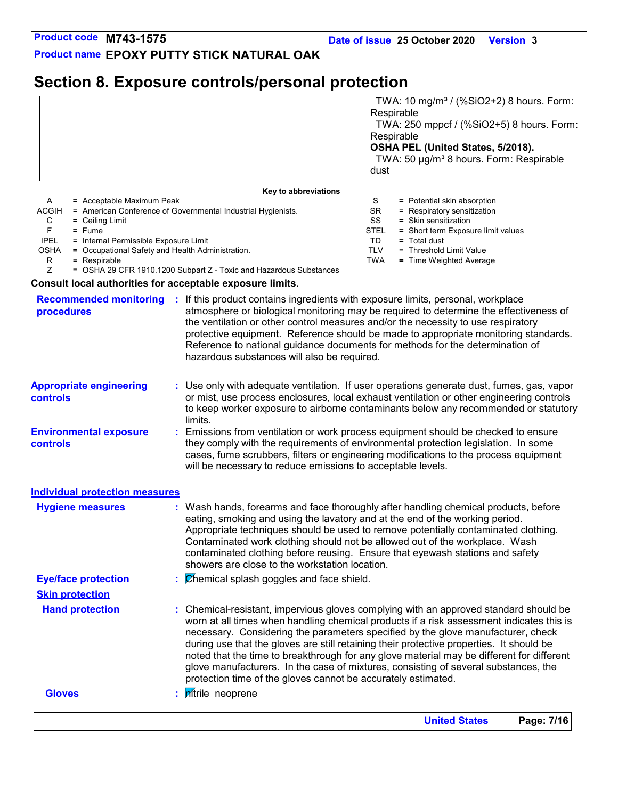**Product name EPOXY PUTTY STICK NATURAL OAK**

### **Section 8. Exposure controls/personal protection**

|       |                                                               |                                   | TWA: 10 mg/m <sup>3</sup> / (%SiO2+2) 8 hours. Form:<br>Respirable |  |
|-------|---------------------------------------------------------------|-----------------------------------|--------------------------------------------------------------------|--|
|       |                                                               |                                   | TWA: 250 mppcf / (%SiO2+5) 8 hours. Form:                          |  |
|       |                                                               |                                   | Respirable                                                         |  |
|       |                                                               | OSHA PEL (United States, 5/2018). |                                                                    |  |
|       |                                                               |                                   | TWA: 50 µg/m <sup>3</sup> 8 hours. Form: Respirable                |  |
|       |                                                               | dust                              |                                                                    |  |
|       | Key to abbreviations                                          |                                   |                                                                    |  |
| A     | = Acceptable Maximum Peak                                     |                                   | = Potential skin absorption                                        |  |
| ACC1H | $-$ American Conference of Covernmental Industrial Hygionists | <b>QD</b>                         | $-$ Poeniratory consitization                                      |  |

|             | $\mathcal{L}$ = $\mathcal{L}$ = $\mathcal{L}$ = $\mathcal{L}$ = $\mathcal{L}$ = $\mathcal{L}$ = $\mathcal{L}$ = $\mathcal{L}$ = $\mathcal{L}$ = $\mathcal{L}$ = $\mathcal{L}$ = $\mathcal{L}$ = $\mathcal{L}$ = $\mathcal{L}$ = $\mathcal{L}$ = $\mathcal{L}$ = $\mathcal{L}$ = $\mathcal{L}$ = $\mathcal{L}$ = $\mathcal{L}$ = | $-1$ old nuclear only about public                |
|-------------|---------------------------------------------------------------------------------------------------------------------------------------------------------------------------------------------------------------------------------------------------------------------------------------------------------------------------------|---------------------------------------------------|
| ACGIH       | = American Conference of Governmental Industrial Hygienists.                                                                                                                                                                                                                                                                    | $=$ Respiratory sensitization<br>SR               |
| C           | $=$ Ceiling Limit                                                                                                                                                                                                                                                                                                               | SS<br>$=$ Skin sensitization                      |
|             | $=$ Fume                                                                                                                                                                                                                                                                                                                        | = Short term Exposure limit values<br><b>STEL</b> |
| <b>IPEL</b> | = Internal Permissible Exposure Limit                                                                                                                                                                                                                                                                                           | $=$ Total dust                                    |
| OSHA        | = Occupational Safety and Health Administration.                                                                                                                                                                                                                                                                                | = Threshold Limit Value<br>TI V                   |
| R           | = Respirable                                                                                                                                                                                                                                                                                                                    | $=$ Time Weighted Average<br>TWA                  |
|             |                                                                                                                                                                                                                                                                                                                                 |                                                   |

Z = OSHA 29 CFR 1910.1200 Subpart Z - Toxic and Hazardous Substances

#### **Consult local authorities for acceptable exposure limits.**

| <b>Recommended monitoring</b><br>procedures |    | : If this product contains ingredients with exposure limits, personal, workplace<br>atmosphere or biological monitoring may be required to determine the effectiveness of<br>the ventilation or other control measures and/or the necessity to use respiratory<br>protective equipment. Reference should be made to appropriate monitoring standards.<br>Reference to national guidance documents for methods for the determination of<br>hazardous substances will also be required.                                                                                                                                  |
|---------------------------------------------|----|------------------------------------------------------------------------------------------------------------------------------------------------------------------------------------------------------------------------------------------------------------------------------------------------------------------------------------------------------------------------------------------------------------------------------------------------------------------------------------------------------------------------------------------------------------------------------------------------------------------------|
| <b>Appropriate engineering</b><br>controls  |    | : Use only with adequate ventilation. If user operations generate dust, fumes, gas, vapor<br>or mist, use process enclosures, local exhaust ventilation or other engineering controls<br>to keep worker exposure to airborne contaminants below any recommended or statutory<br>limits.                                                                                                                                                                                                                                                                                                                                |
| <b>Environmental exposure</b><br>controls   |    | Emissions from ventilation or work process equipment should be checked to ensure<br>they comply with the requirements of environmental protection legislation. In some<br>cases, fume scrubbers, filters or engineering modifications to the process equipment<br>will be necessary to reduce emissions to acceptable levels.                                                                                                                                                                                                                                                                                          |
| <b>Individual protection measures</b>       |    |                                                                                                                                                                                                                                                                                                                                                                                                                                                                                                                                                                                                                        |
| <b>Hygiene measures</b>                     |    | : Wash hands, forearms and face thoroughly after handling chemical products, before<br>eating, smoking and using the lavatory and at the end of the working period.<br>Appropriate techniques should be used to remove potentially contaminated clothing.<br>Contaminated work clothing should not be allowed out of the workplace. Wash<br>contaminated clothing before reusing. Ensure that eyewash stations and safety<br>showers are close to the workstation location.                                                                                                                                            |
| <b>Eye/face protection</b>                  |    | $\mathcal{C}$ <i>Chemical splash goggles and face shield.</i>                                                                                                                                                                                                                                                                                                                                                                                                                                                                                                                                                          |
| <b>Skin protection</b>                      |    |                                                                                                                                                                                                                                                                                                                                                                                                                                                                                                                                                                                                                        |
| <b>Hand protection</b>                      |    | : Chemical-resistant, impervious gloves complying with an approved standard should be<br>worn at all times when handling chemical products if a risk assessment indicates this is<br>necessary. Considering the parameters specified by the glove manufacturer, check<br>during use that the gloves are still retaining their protective properties. It should be<br>noted that the time to breakthrough for any glove material may be different for different<br>glove manufacturers. In the case of mixtures, consisting of several substances, the<br>protection time of the gloves cannot be accurately estimated. |
| <b>Gloves</b>                               | ÷. | pitrile neoprene                                                                                                                                                                                                                                                                                                                                                                                                                                                                                                                                                                                                       |
|                                             |    |                                                                                                                                                                                                                                                                                                                                                                                                                                                                                                                                                                                                                        |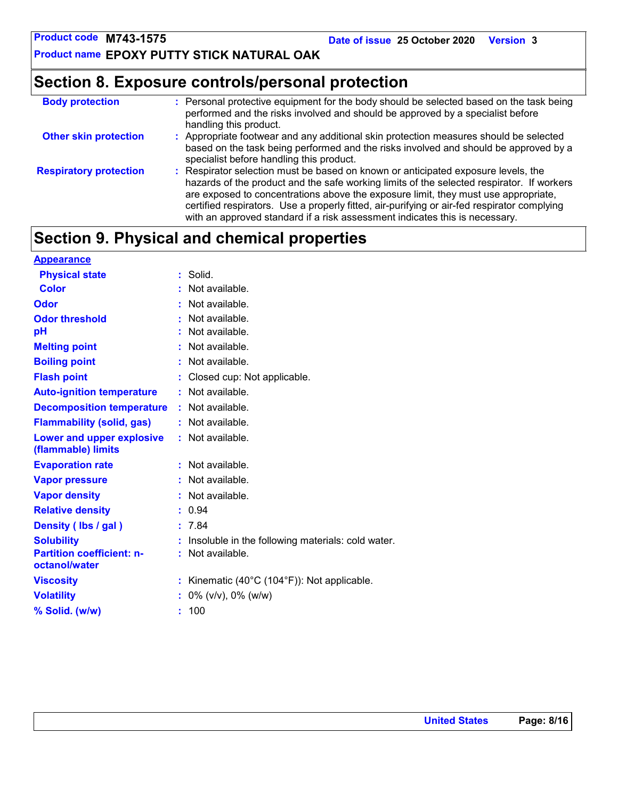**Product name EPOXY PUTTY STICK NATURAL OAK**

### **Section 8. Exposure controls/personal protection**

| <b>Body protection</b>        | : Personal protective equipment for the body should be selected based on the task being<br>performed and the risks involved and should be approved by a specialist before<br>handling this product.                                                                                                                                                                                                                                                |
|-------------------------------|----------------------------------------------------------------------------------------------------------------------------------------------------------------------------------------------------------------------------------------------------------------------------------------------------------------------------------------------------------------------------------------------------------------------------------------------------|
| <b>Other skin protection</b>  | : Appropriate footwear and any additional skin protection measures should be selected<br>based on the task being performed and the risks involved and should be approved by a<br>specialist before handling this product.                                                                                                                                                                                                                          |
| <b>Respiratory protection</b> | : Respirator selection must be based on known or anticipated exposure levels, the<br>hazards of the product and the safe working limits of the selected respirator. If workers<br>are exposed to concentrations above the exposure limit, they must use appropriate,<br>certified respirators. Use a properly fitted, air-purifying or air-fed respirator complying<br>with an approved standard if a risk assessment indicates this is necessary. |

### **Section 9. Physical and chemical properties**

| <b>Appearance</b>                                      |                                                                      |
|--------------------------------------------------------|----------------------------------------------------------------------|
| <b>Physical state</b>                                  | Solid.                                                               |
| <b>Color</b>                                           | Not available.                                                       |
| Odor                                                   | Not available.                                                       |
| <b>Odor threshold</b>                                  | Not available.                                                       |
| рH                                                     | Not available.                                                       |
| <b>Melting point</b>                                   | Not available.                                                       |
| <b>Boiling point</b>                                   | Not available.                                                       |
| <b>Flash point</b>                                     | Closed cup: Not applicable.                                          |
| <b>Auto-ignition temperature</b>                       | : Not available.                                                     |
| <b>Decomposition temperature</b>                       | : Not available.                                                     |
| <b>Flammability (solid, gas)</b>                       | : Not available.                                                     |
| <b>Lower and upper explosive</b><br>(flammable) limits | : Not available.                                                     |
| <b>Evaporation rate</b>                                | Not available.<br>÷.                                                 |
| <b>Vapor pressure</b>                                  | Not available.                                                       |
| <b>Vapor density</b>                                   | Not available.                                                       |
| <b>Relative density</b>                                | 0.94                                                                 |
| Density (Ibs / gal)                                    | 7.84                                                                 |
| <b>Solubility</b>                                      | Insoluble in the following materials: cold water.                    |
| <b>Partition coefficient: n-</b><br>octanol/water      | Not available.                                                       |
| <b>Viscosity</b>                                       | Kinematic (40 $^{\circ}$ C (104 $^{\circ}$ F)): Not applicable.<br>t |
| <b>Volatility</b>                                      | $0\%$ (v/v), $0\%$ (w/w)                                             |
| % Solid. (w/w)                                         | 100                                                                  |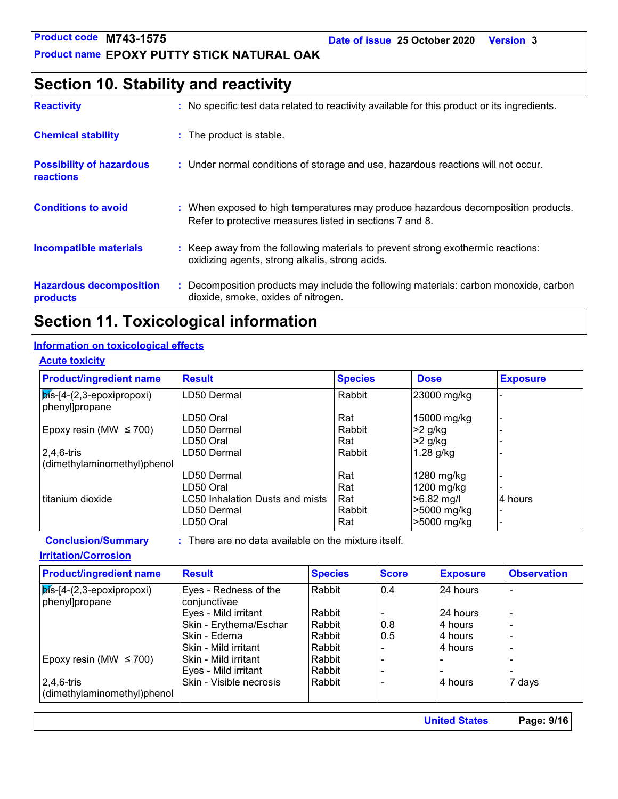**Date of issue 25 October 2020 Version 3**

#### **Product name EPOXY PUTTY STICK NATURAL OAK**

### **Section 10. Stability and reactivity**

| <b>Reactivity</b>                            | : No specific test data related to reactivity available for this product or its ingredients.                                                  |
|----------------------------------------------|-----------------------------------------------------------------------------------------------------------------------------------------------|
| <b>Chemical stability</b>                    | : The product is stable.                                                                                                                      |
| <b>Possibility of hazardous</b><br>reactions | : Under normal conditions of storage and use, hazardous reactions will not occur.                                                             |
| <b>Conditions to avoid</b>                   | : When exposed to high temperatures may produce hazardous decomposition products.<br>Refer to protective measures listed in sections 7 and 8. |
| <b>Incompatible materials</b>                | : Keep away from the following materials to prevent strong exothermic reactions:<br>oxidizing agents, strong alkalis, strong acids.           |
| <b>Hazardous decomposition</b><br>products   | Decomposition products may include the following materials: carbon monoxide, carbon<br>dioxide, smoke, oxides of nitrogen.                    |

### **Section 11. Toxicological information**

#### **Information on toxicological effects**

#### **Acute toxicity**

| <b>Product/ingredient name</b>                    | <b>Result</b>                   | <b>Species</b> | <b>Dose</b> | <b>Exposure</b> |
|---------------------------------------------------|---------------------------------|----------------|-------------|-----------------|
| $ \overline{\mathsf{pis}}$ -[4-(2,3-epoxipropoxi) | LD50 Dermal                     | Rabbit         | 23000 mg/kg |                 |
| phenyl]propane                                    |                                 |                |             |                 |
|                                                   | LD50 Oral                       | Rat            | 15000 mg/kg |                 |
| Epoxy resin (MW $\leq$ 700)                       | LD50 Dermal                     | Rabbit         | >2 g/kg     |                 |
|                                                   | LD50 Oral                       | Rat            | $>2$ g/kg   |                 |
| $ 2,4,6$ -tris                                    | LD50 Dermal                     | Rabbit         | $1.28$ g/kg |                 |
| (dimethylaminomethyl)phenol                       |                                 |                |             |                 |
|                                                   | LD50 Dermal                     | Rat            | 1280 mg/kg  |                 |
|                                                   | LD50 Oral                       | Rat            | 1200 mg/kg  |                 |
| I titanium dioxide                                | LC50 Inhalation Dusts and mists | Rat            | >6.82 mg/l  | 4 hours         |
|                                                   | LD50 Dermal                     | Rabbit         | >5000 mg/kg |                 |
|                                                   | LD50 Oral                       | Rat            | >5000 mg/kg |                 |

**Conclusion/Summary :** : There are no data available on the mixture itself.

#### **Irritation/Corrosion**

| <b>Product/ingredient name</b>                  | <b>Result</b>                         | <b>Species</b> | <b>Score</b> | <b>Exposure</b> | <b>Observation</b>       |
|-------------------------------------------------|---------------------------------------|----------------|--------------|-----------------|--------------------------|
| $ $ bis-[4-(2,3-epoxipropoxi)<br>phenyl]propane | Eyes - Redness of the<br>conjunctivae | Rabbit         | 0.4          | 24 hours        | $\overline{a}$           |
|                                                 | Eyes - Mild irritant                  | Rabbit         |              | 24 hours        | $\overline{\phantom{a}}$ |
|                                                 | Skin - Erythema/Eschar                | Rabbit         | 0.8          | 4 hours         | $\overline{\phantom{a}}$ |
|                                                 | Skin - Edema                          | Rabbit         | 0.5          | 4 hours         | $\overline{a}$           |
|                                                 | Skin - Mild irritant                  | Rabbit         |              | 4 hours         | $\overline{a}$           |
| Epoxy resin (MW $\leq$ 700)                     | Skin - Mild irritant                  | Rabbit         |              | -               |                          |
|                                                 | Eyes - Mild irritant                  | Rabbit         |              | -               | $\overline{a}$           |
| $2,4,6$ -tris                                   | Skin - Visible necrosis               | Rabbit         |              | 4 hours         | 7 days                   |
| dimethylaminomethyl)phenol                      |                                       |                |              |                 |                          |

**United States Page: 9/16**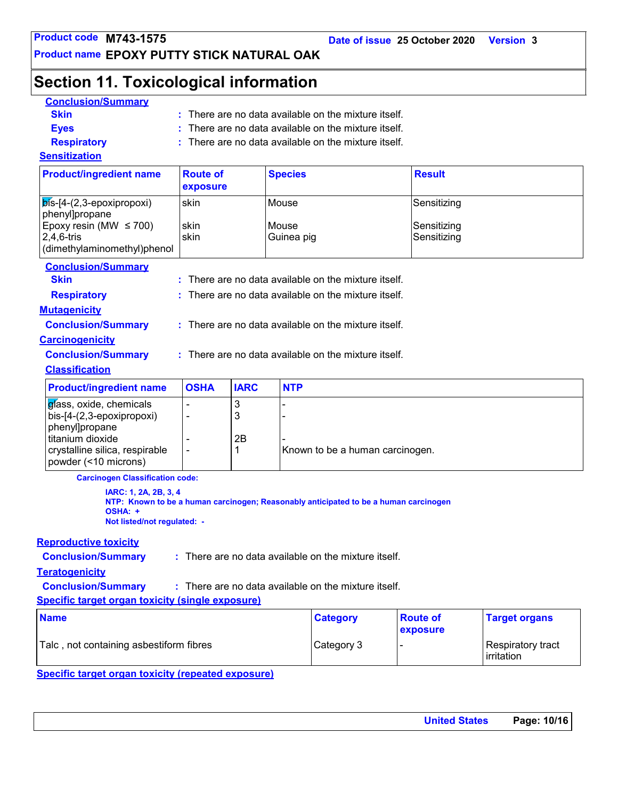**Date of issue 25 October 2020 Version 3**

### **Product name EPOXY PUTTY STICK NATURAL OAK**

### **Section 11. Toxicological information**

| <b>Conclusion/Summary</b>                                       |                                                      |                           |                     |                                                                                      |                            |                                 |  |  |
|-----------------------------------------------------------------|------------------------------------------------------|---------------------------|---------------------|--------------------------------------------------------------------------------------|----------------------------|---------------------------------|--|--|
| <b>Skin</b>                                                     | : There are no data available on the mixture itself. |                           |                     |                                                                                      |                            |                                 |  |  |
| <b>Eyes</b>                                                     | There are no data available on the mixture itself.   |                           |                     |                                                                                      |                            |                                 |  |  |
| <b>Respiratory</b>                                              | There are no data available on the mixture itself.   |                           |                     |                                                                                      |                            |                                 |  |  |
| <b>Sensitization</b>                                            |                                                      |                           |                     |                                                                                      |                            |                                 |  |  |
| <b>Product/ingredient name</b>                                  | <b>Route of</b><br>exposure                          |                           | <b>Species</b>      |                                                                                      | <b>Result</b>              |                                 |  |  |
| $\mathsf{b}$ ís-[4-(2,3-epoxipropoxi)                           | skin                                                 |                           | Mouse               |                                                                                      | Sensitizing                |                                 |  |  |
| phenyl]propane                                                  |                                                      |                           |                     |                                                                                      |                            |                                 |  |  |
| Epoxy resin (MW $\leq$ 700)<br>$2,4,6$ -tris                    | skin<br>skin                                         |                           | Mouse<br>Guinea pig |                                                                                      | Sensitizing<br>Sensitizing |                                 |  |  |
| (dimethylaminomethyl)phenol                                     |                                                      |                           |                     |                                                                                      |                            |                                 |  |  |
| <b>Conclusion/Summary</b>                                       |                                                      |                           |                     |                                                                                      |                            |                                 |  |  |
| <b>Skin</b>                                                     |                                                      |                           |                     | $:$ There are no data available on the mixture itself.                               |                            |                                 |  |  |
| <b>Respiratory</b>                                              |                                                      |                           |                     | There are no data available on the mixture itself.                                   |                            |                                 |  |  |
| <b>Mutagenicity</b>                                             |                                                      |                           |                     |                                                                                      |                            |                                 |  |  |
| <b>Conclusion/Summary</b>                                       |                                                      |                           |                     | : There are no data available on the mixture itself.                                 |                            |                                 |  |  |
| <b>Carcinogenicity</b>                                          |                                                      |                           |                     |                                                                                      |                            |                                 |  |  |
| <b>Conclusion/Summary</b>                                       |                                                      |                           |                     | : There are no data available on the mixture itself.                                 |                            |                                 |  |  |
| <b>Classification</b>                                           |                                                      |                           |                     |                                                                                      |                            |                                 |  |  |
|                                                                 |                                                      |                           |                     |                                                                                      |                            |                                 |  |  |
| <b>Product/ingredient name</b>                                  | <b>OSHA</b>                                          | <b>IARC</b>               | <b>NTP</b>          |                                                                                      |                            |                                 |  |  |
| glass, oxide, chemicals                                         |                                                      | $\ensuremath{\mathsf{3}}$ |                     |                                                                                      |                            |                                 |  |  |
| bis-[4-(2,3-epoxipropoxi)                                       |                                                      | 3                         |                     |                                                                                      |                            |                                 |  |  |
| phenyl]propane<br>titanium dioxide                              |                                                      | 2B                        |                     |                                                                                      |                            |                                 |  |  |
| crystalline silica, respirable                                  | $\overline{\phantom{a}}$                             | 1                         |                     | Known to be a human carcinogen.                                                      |                            |                                 |  |  |
| powder (<10 microns)                                            |                                                      |                           |                     |                                                                                      |                            |                                 |  |  |
| <b>Carcinogen Classification code:</b>                          |                                                      |                           |                     |                                                                                      |                            |                                 |  |  |
| IARC: 1, 2A, 2B, 3, 4<br>OSHA: +<br>Not listed/not regulated: - |                                                      |                           |                     | NTP: Known to be a human carcinogen; Reasonably anticipated to be a human carcinogen |                            |                                 |  |  |
| <b>Reproductive toxicity</b>                                    |                                                      |                           |                     |                                                                                      |                            |                                 |  |  |
| <b>Conclusion/Summary</b>                                       |                                                      |                           |                     | : There are no data available on the mixture itself.                                 |                            |                                 |  |  |
| <b>Teratogenicity</b>                                           |                                                      |                           |                     |                                                                                      |                            |                                 |  |  |
| <b>Conclusion/Summary</b>                                       |                                                      |                           |                     | : There are no data available on the mixture itself.                                 |                            |                                 |  |  |
| <b>Specific target organ toxicity (single exposure)</b>         |                                                      |                           |                     |                                                                                      |                            |                                 |  |  |
| <b>Name</b>                                                     |                                                      |                           |                     | <b>Category</b>                                                                      | <b>Route of</b>            | <b>Target organs</b>            |  |  |
|                                                                 |                                                      |                           |                     |                                                                                      | exposure                   |                                 |  |  |
| Talc, not containing asbestiform fibres                         |                                                      |                           |                     | Category 3                                                                           |                            | Respiratory tract<br>irritation |  |  |

**Specific target organ toxicity (repeated exposure)**

| <b>United States</b> | Page: 10/16 |
|----------------------|-------------|
|                      |             |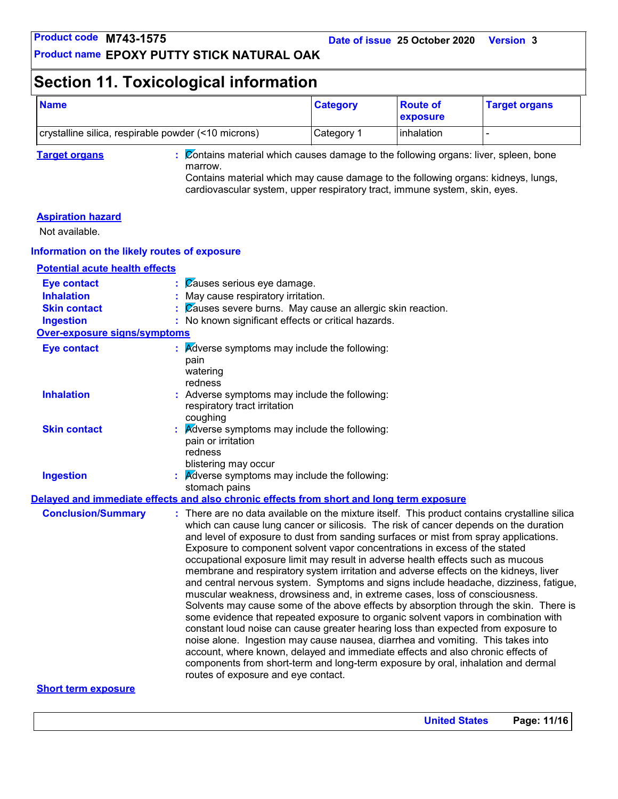### **Section 11. Toxicological information**

| <b>Name</b>                                         | <b>Category</b>    | <b>Route of</b><br><b>Lexposure</b> | <b>Target organs</b> |
|-----------------------------------------------------|--------------------|-------------------------------------|----------------------|
| crystalline silica, respirable powder (<10 microns) | ⊩Category <i>*</i> | <b>linhalation</b>                  |                      |

**Target organs :** Contains material which causes damage to the following organs: liver, spleen, bone marrow. Contains material which may cause damage to the following organs: kidneys, lungs,

cardiovascular system, upper respiratory tract, immune system, skin, eyes.

#### **Aspiration hazard**

Not available.

#### **Information on the likely routes of exposure**

**Potential acute health effects**

| <b>Eye contact</b>                  | Causes serious eye damage.                                                                                                                                                                                                                                                                                                                                                                                                                                                                                                                                                                                                                                                                                                                                                                                                                                                                                                                                                                                                                                                                                                                                                                                                                                                         |
|-------------------------------------|------------------------------------------------------------------------------------------------------------------------------------------------------------------------------------------------------------------------------------------------------------------------------------------------------------------------------------------------------------------------------------------------------------------------------------------------------------------------------------------------------------------------------------------------------------------------------------------------------------------------------------------------------------------------------------------------------------------------------------------------------------------------------------------------------------------------------------------------------------------------------------------------------------------------------------------------------------------------------------------------------------------------------------------------------------------------------------------------------------------------------------------------------------------------------------------------------------------------------------------------------------------------------------|
| <b>Inhalation</b>                   | : May cause respiratory irritation.                                                                                                                                                                                                                                                                                                                                                                                                                                                                                                                                                                                                                                                                                                                                                                                                                                                                                                                                                                                                                                                                                                                                                                                                                                                |
| <b>Skin contact</b>                 | Causes severe burns. May cause an allergic skin reaction.                                                                                                                                                                                                                                                                                                                                                                                                                                                                                                                                                                                                                                                                                                                                                                                                                                                                                                                                                                                                                                                                                                                                                                                                                          |
| <b>Ingestion</b>                    | : No known significant effects or critical hazards.                                                                                                                                                                                                                                                                                                                                                                                                                                                                                                                                                                                                                                                                                                                                                                                                                                                                                                                                                                                                                                                                                                                                                                                                                                |
| <b>Over-exposure signs/symptoms</b> |                                                                                                                                                                                                                                                                                                                                                                                                                                                                                                                                                                                                                                                                                                                                                                                                                                                                                                                                                                                                                                                                                                                                                                                                                                                                                    |
| <b>Eye contact</b>                  | $\therefore$ Adverse symptoms may include the following:<br>pain<br>watering<br>redness                                                                                                                                                                                                                                                                                                                                                                                                                                                                                                                                                                                                                                                                                                                                                                                                                                                                                                                                                                                                                                                                                                                                                                                            |
| <b>Inhalation</b>                   | : Adverse symptoms may include the following:<br>respiratory tract irritation<br>coughing                                                                                                                                                                                                                                                                                                                                                                                                                                                                                                                                                                                                                                                                                                                                                                                                                                                                                                                                                                                                                                                                                                                                                                                          |
| <b>Skin contact</b>                 | Adverse symptoms may include the following:<br>pain or irritation<br>redness<br>blistering may occur                                                                                                                                                                                                                                                                                                                                                                                                                                                                                                                                                                                                                                                                                                                                                                                                                                                                                                                                                                                                                                                                                                                                                                               |
| <b>Ingestion</b>                    | <b>A</b> dverse symptoms may include the following:<br>stomach pains                                                                                                                                                                                                                                                                                                                                                                                                                                                                                                                                                                                                                                                                                                                                                                                                                                                                                                                                                                                                                                                                                                                                                                                                               |
|                                     | Delayed and immediate effects and also chronic effects from short and long term exposure                                                                                                                                                                                                                                                                                                                                                                                                                                                                                                                                                                                                                                                                                                                                                                                                                                                                                                                                                                                                                                                                                                                                                                                           |
| <b>Conclusion/Summary</b>           | : There are no data available on the mixture itself. This product contains crystalline silica<br>which can cause lung cancer or silicosis. The risk of cancer depends on the duration<br>and level of exposure to dust from sanding surfaces or mist from spray applications.<br>Exposure to component solvent vapor concentrations in excess of the stated<br>occupational exposure limit may result in adverse health effects such as mucous<br>membrane and respiratory system irritation and adverse effects on the kidneys, liver<br>and central nervous system. Symptoms and signs include headache, dizziness, fatigue,<br>muscular weakness, drowsiness and, in extreme cases, loss of consciousness.<br>Solvents may cause some of the above effects by absorption through the skin. There is<br>some evidence that repeated exposure to organic solvent vapors in combination with<br>constant loud noise can cause greater hearing loss than expected from exposure to<br>noise alone. Ingestion may cause nausea, diarrhea and vomiting. This takes into<br>account, where known, delayed and immediate effects and also chronic effects of<br>components from short-term and long-term exposure by oral, inhalation and dermal<br>routes of exposure and eye contact. |

#### **Short term exposure**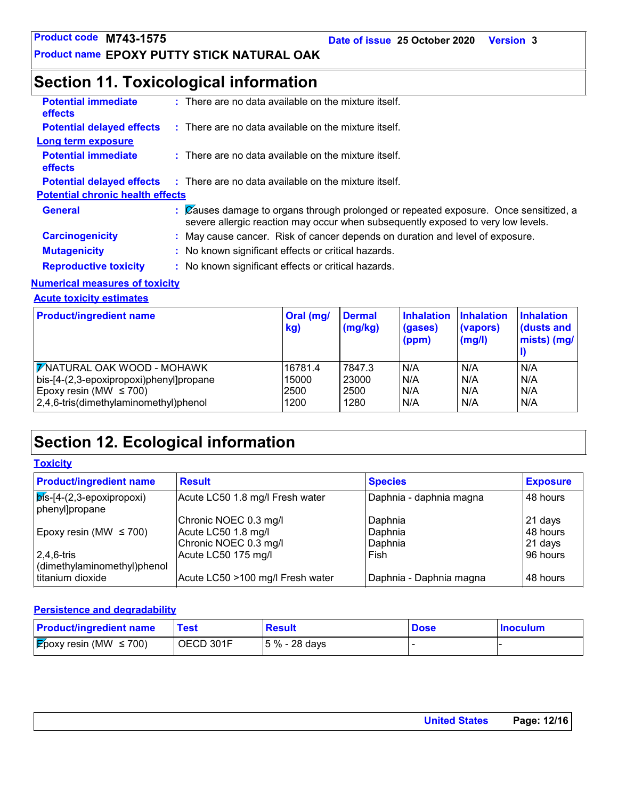### **Section 11. Toxicological information**

| $:$ There are no data available on the mixture itself.<br>$\therefore$ There are no data available on the mixture itself.<br>$\therefore$ There are no data available on the mixture itself.      |
|---------------------------------------------------------------------------------------------------------------------------------------------------------------------------------------------------|
|                                                                                                                                                                                                   |
|                                                                                                                                                                                                   |
|                                                                                                                                                                                                   |
|                                                                                                                                                                                                   |
| $\therefore$ There are no data available on the mixture itself.                                                                                                                                   |
| <b>Potential chronic health effects</b>                                                                                                                                                           |
| $\mathcal{C}$ $\mathbb{Z}$ causes damage to organs through prolonged or repeated exposure. Once sensitized, a<br>severe allergic reaction may occur when subsequently exposed to very low levels. |
| : May cause cancer. Risk of cancer depends on duration and level of exposure.                                                                                                                     |
| : No known significant effects or critical hazards.                                                                                                                                               |
| : No known significant effects or critical hazards.                                                                                                                                               |
| المناقب فالمحافظ والمستحدث والمحافظ والمتحدث والمتحدد والمنافس والمتحددة                                                                                                                          |

#### **Numerical measures of toxicity**

**Acute toxicity estimates**

| <b>Product/ingredient name</b>          | Oral (mg/<br>kg) | <b>Dermal</b><br>(mg/kg) | <b>Inhalation</b><br>(gases)<br>(ppm) | <b>Inhalation</b><br>(vapors)<br>(mg/l) | <b>Inhalation</b><br>(dusts and<br>mists) (mg/ |
|-----------------------------------------|------------------|--------------------------|---------------------------------------|-----------------------------------------|------------------------------------------------|
| <b>7</b> NATURAL OAK WOOD - MOHAWK      | 16781.4          | 7847.3                   | IN/A                                  | N/A                                     | N/A                                            |
| bis-[4-(2,3-epoxipropoxi)phenyl]propane | 15000            | 23000                    | IN/A                                  | N/A                                     | N/A                                            |
| Epoxy resin (MW $\leq$ 700)             | 2500             | 2500                     | N/A                                   | N/A                                     | N/A                                            |
| 2,4,6-tris(dimethylaminomethyl)phenol   | 1200             | 1280                     | IN/A                                  | N/A                                     | N/A                                            |

### **Section 12. Ecological information**

**Toxicity**

| <b>Product/ingredient name</b>                        | <b>Result</b>                    | <b>Species</b>          | <b>Exposure</b> |
|-------------------------------------------------------|----------------------------------|-------------------------|-----------------|
| $\sqrt{p}$ is-[4-(2,3-epoxipropoxi)<br>phenyl]propane | Acute LC50 1.8 mg/l Fresh water  | Daphnia - daphnia magna | 48 hours        |
|                                                       | Chronic NOEC 0.3 mg/l            | Daphnia                 | 21 days         |
| Epoxy resin (MW $\leq$ 700)                           | Acute LC50 1.8 mg/l              | Daphnia                 | 48 hours        |
|                                                       | Chronic NOEC 0.3 mg/l            | l Daphnia               | $21$ days       |
| $2,4,6$ -tris                                         | Acute LC50 175 mg/l              | Fish                    | 96 hours        |
| dimethylaminomethyl)phenol                            |                                  |                         |                 |
| titanium dioxide                                      | Acute LC50 >100 mg/l Fresh water | Daphnia - Daphnia magna | 48 hours        |

#### **Persistence and degradability**

| <b>Product/ingredient name</b>           | Test      | <b>Result</b>   | <b>Dose</b> | <b>Inoculum</b> |
|------------------------------------------|-----------|-----------------|-------------|-----------------|
| $\mathcal{E}$ poxy resin (MW $\leq$ 700) | OECD 301F | $ 5% - 28$ days |             |                 |

| <b>United States</b> | Page: 12/16 |
|----------------------|-------------|
|                      |             |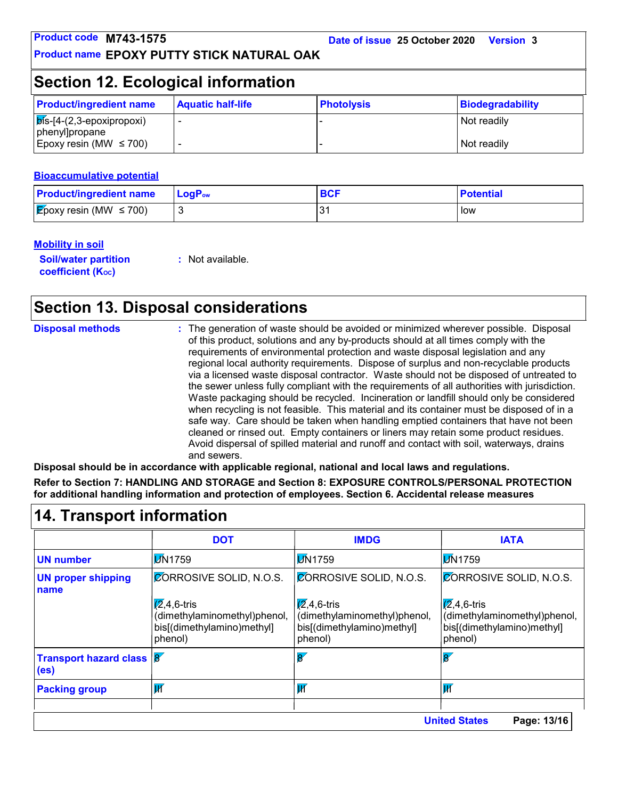### **Section 12. Ecological information**

| <b>Product/ingredient name</b>                                    | <b>Aquatic half-life</b> | <b>Photolysis</b> | Biodegradability |
|-------------------------------------------------------------------|--------------------------|-------------------|------------------|
| $\vert$ $\overline{p}$ is-[4-(2,3-epoxipropoxi)<br>phenyl]propane |                          |                   | Not readily      |
| Epoxy resin (MW $\leq$ 700)                                       |                          |                   | Not readily      |

#### **Bioaccumulative potential**

| <b>Product/ingredient name</b>      | $\mathsf{LogP}_\mathsf{ow}$ | <b>BCF</b> | <b>Potential</b> |
|-------------------------------------|-----------------------------|------------|------------------|
| <b>E</b> poxy resin (MW $\leq$ 700) |                             | -94        | l low            |

#### **Mobility in soil**

**Soil/water partition coefficient (Koc)** 

**:** Not available.

### **Section 13. Disposal considerations**

| <b>Disposal methods</b>          | and sewers. | : The generation of waste should be avoided or minimized wherever possible. Disposal<br>of this product, solutions and any by-products should at all times comply with the<br>requirements of environmental protection and waste disposal legislation and any<br>regional local authority requirements. Dispose of surplus and non-recyclable products<br>via a licensed waste disposal contractor. Waste should not be disposed of untreated to<br>the sewer unless fully compliant with the requirements of all authorities with jurisdiction.<br>Waste packaging should be recycled. Incineration or landfill should only be considered<br>when recycling is not feasible. This material and its container must be disposed of in a<br>safe way. Care should be taken when handling emptied containers that have not been<br>cleaned or rinsed out. Empty containers or liners may retain some product residues.<br>Avoid dispersal of spilled material and runoff and contact with soil, waterways, drains<br>Disposal should be in accordance with applicable regional, national and local laws and regulations.<br>Refer to Section 7: HANDLING AND STORAGE and Section 8: EXPOSURE CONTROLS/PERSONAL PROTECTION<br>for additional handling information and protection of employees. Section 6. Accidental release measures |             |
|----------------------------------|-------------|-----------------------------------------------------------------------------------------------------------------------------------------------------------------------------------------------------------------------------------------------------------------------------------------------------------------------------------------------------------------------------------------------------------------------------------------------------------------------------------------------------------------------------------------------------------------------------------------------------------------------------------------------------------------------------------------------------------------------------------------------------------------------------------------------------------------------------------------------------------------------------------------------------------------------------------------------------------------------------------------------------------------------------------------------------------------------------------------------------------------------------------------------------------------------------------------------------------------------------------------------------------------------------------------------------------------------------------|-------------|
| <b>14. Transport information</b> |             |                                                                                                                                                                                                                                                                                                                                                                                                                                                                                                                                                                                                                                                                                                                                                                                                                                                                                                                                                                                                                                                                                                                                                                                                                                                                                                                                   |             |
|                                  | <b>DOT</b>  | <b>IMDG</b>                                                                                                                                                                                                                                                                                                                                                                                                                                                                                                                                                                                                                                                                                                                                                                                                                                                                                                                                                                                                                                                                                                                                                                                                                                                                                                                       | <b>IATA</b> |

|                                                                              | <b>DOT</b>                                                                                    | <b>IMDG</b>                                                                               | <b>IATA</b>                                                                                   |
|------------------------------------------------------------------------------|-----------------------------------------------------------------------------------------------|-------------------------------------------------------------------------------------------|-----------------------------------------------------------------------------------------------|
| <b>UN number</b>                                                             | <b>DN1759</b>                                                                                 | <b>M</b> 1759                                                                             | <b>M</b> 1759                                                                                 |
| <b>UN proper shipping</b><br>name                                            | <b>CORROSIVE SOLID, N.O.S.</b>                                                                | <b>CORROSIVE SOLID, N.O.S.</b>                                                            | <b>CORROSIVE SOLID, N.O.S.</b>                                                                |
|                                                                              | $\sqrt{2}$ ,4,6-tris<br>(dimethylaminomethyl)phenol,<br>bis[(dimethylamino)methyl]<br>phenol) | $(2, 4, 6$ -tris<br>(dimethylaminomethyl)phenol,<br>bis[(dimethylamino)methyl]<br>phenol) | $\sqrt{2}$ ,4,6-tris<br>(dimethylaminomethyl)phenol,<br>bis[(dimethylamino)methyl]<br>phenol) |
| <b>Transport hazard class <math>\mathcal{B}'</math></b><br>(e <sub>s</sub> ) |                                                                                               | $\overline{\mathbf{g}'}$                                                                  | $\overline{\mathbf{g}}$                                                                       |
| <b>Packing group</b>                                                         | $\overline{\mathsf{M}}$                                                                       | IИ                                                                                        | lИ                                                                                            |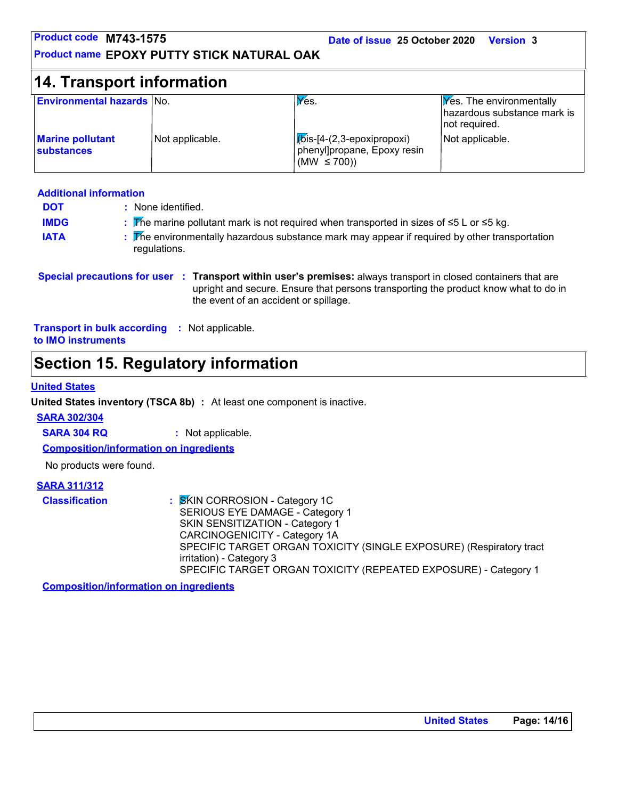| Product code M743-1575                            |                 | Date of issue 25 October 2020                                                 | <b>Version 3</b>                                                         |
|---------------------------------------------------|-----------------|-------------------------------------------------------------------------------|--------------------------------------------------------------------------|
| <b>Product name EPOXY PUTTY STICK NATURAL OAK</b> |                 |                                                                               |                                                                          |
| 14. Transport information                         |                 |                                                                               |                                                                          |
| <b>Environmental hazards No.</b>                  |                 | $V$ es.                                                                       | Yes. The environmentally<br>hazardous substance mark is<br>not required. |
| <b>Marine pollutant</b><br><b>substances</b>      | Not applicable. | [bis-[4-(2,3-epoxipropoxi)<br>phenyl]propane, Epoxy resin<br>(MW $\leq$ 700)) | Not applicable.                                                          |

#### **Additional information**

| <b>DOT</b>  | : None identified.                                                                                            |
|-------------|---------------------------------------------------------------------------------------------------------------|
| <b>IMDG</b> | : The marine pollutant mark is not required when transported in sizes of $\leq 5$ L or $\leq 5$ kg.           |
| <b>IATA</b> | : The environmentally hazardous substance mark may appear if required by other transportation<br>regulations. |

#### **Special precautions for user Transport within user's premises:** always transport in closed containers that are **:** upright and secure. Ensure that persons transporting the product know what to do in the event of an accident or spillage.

**Transport in bulk according :** Not applicable. **to IMO instruments**

### **Section 15. Regulatory information**

#### **United States**

**United States inventory (TSCA 8b) :** At least one component is inactive.

#### **SARA 302/304**

**SARA 304 RQ :** Not applicable.

**Composition/information on ingredients**

No products were found.

#### **SARA 311/312**

| <b>Classification</b> | : SKIN CORROSION - Category 1C                                      |
|-----------------------|---------------------------------------------------------------------|
|                       | SERIOUS EYE DAMAGE - Category 1                                     |
|                       | SKIN SENSITIZATION - Category 1                                     |
|                       | CARCINOGENICITY - Category 1A                                       |
|                       | SPECIFIC TARGET ORGAN TOXICITY (SINGLE EXPOSURE) (Respiratory tract |
|                       | irritation) - Category 3                                            |
|                       | SPECIFIC TARGET ORGAN TOXICITY (REPEATED EXPOSURE) - Category 1     |

**Composition/information on ingredients**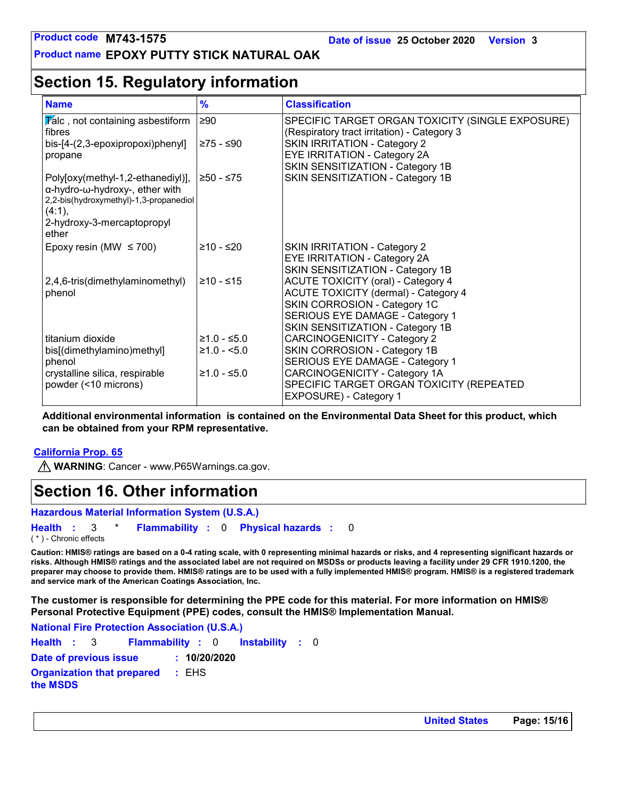### **Section 15. Regulatory information**

| <b>Name</b>                                                                                                                                                                        | $\%$                          | <b>Classification</b>                                                                                                                                                                                      |
|------------------------------------------------------------------------------------------------------------------------------------------------------------------------------------|-------------------------------|------------------------------------------------------------------------------------------------------------------------------------------------------------------------------------------------------------|
| $\triangledown$ alc, not containing asbestiform<br>fibres<br>bis-[4-(2,3-epoxipropoxi)phenyl]<br>propane                                                                           | $\geq 90$<br>≥75 - ≤90        | SPECIFIC TARGET ORGAN TOXICITY (SINGLE EXPOSURE)<br>(Respiratory tract irritation) - Category 3<br><b>SKIN IRRITATION - Category 2</b><br>EYE IRRITATION - Category 2A<br>SKIN SENSITIZATION - Category 1B |
| Poly[oxy(methyl-1,2-ethanediyl)],<br>$\alpha$ -hydro- $\omega$ -hydroxy-, ether with<br>2,2-bis(hydroxymethyl)-1,3-propanediol<br>$(4:1)$ ,<br>2-hydroxy-3-mercaptopropyl<br>ether | ≥50 - ≤75                     | SKIN SENSITIZATION - Category 1B                                                                                                                                                                           |
| Epoxy resin (MW $\leq$ 700)                                                                                                                                                        | ≥10 - ≤20                     | <b>SKIN IRRITATION - Category 2</b><br>EYE IRRITATION - Category 2A<br>SKIN SENSITIZATION - Category 1B                                                                                                    |
| 2,4,6-tris(dimethylaminomethyl)<br>phenol                                                                                                                                          | $≥10 - ≤15$                   | <b>ACUTE TOXICITY (oral) - Category 4</b><br><b>ACUTE TOXICITY (dermal) - Category 4</b><br>SKIN CORROSION - Category 1C<br>SERIOUS EYE DAMAGE - Category 1<br>SKIN SENSITIZATION - Category 1B            |
| titanium dioxide<br>bis[(dimethylamino)methyl]<br>phenol                                                                                                                           | $≥1.0 - ≤5.0$<br>$≥1.0 - 5.0$ | <b>CARCINOGENICITY - Category 2</b><br>SKIN CORROSION - Category 1B<br>SERIOUS EYE DAMAGE - Category 1                                                                                                     |
| crystalline silica, respirable<br>powder (<10 microns)                                                                                                                             | $≥1.0 - ≤5.0$                 | CARCINOGENICITY - Category 1A<br>SPECIFIC TARGET ORGAN TOXICITY (REPEATED<br>EXPOSURE) - Category 1                                                                                                        |

**Additional environmental information is contained on the Environmental Data Sheet for this product, which can be obtained from your RPM representative.**

#### **California Prop. 65**

**MARNING**: Cancer - www.P65Warnings.ca.gov.

### **Section 16. Other information**

**Hazardous Material Information System (U.S.A.)**

**Health** : 3 \* **Flammability** : 0 **Physical hazards** : 0 0

( \* ) - Chronic effects

**Caution: HMIS® ratings are based on a 0-4 rating scale, with 0 representing minimal hazards or risks, and 4 representing significant hazards or risks. Although HMIS® ratings and the associated label are not required on MSDSs or products leaving a facility under 29 CFR 1910.1200, the preparer may choose to provide them. HMIS® ratings are to be used with a fully implemented HMIS® program. HMIS® is a registered trademark and service mark of the American Coatings Association, Inc.**

**The customer is responsible for determining the PPE code for this material. For more information on HMIS® Personal Protective Equipment (PPE) codes, consult the HMIS® Implementation Manual.**

Instability : 0 **National Fire Protection Association (U.S.A.) Health**: 3 **Flammability**: 0 **Instability**: 0 **Date of previous issue : 10/20/2020 Organization that prepared the MSDS :** EHS